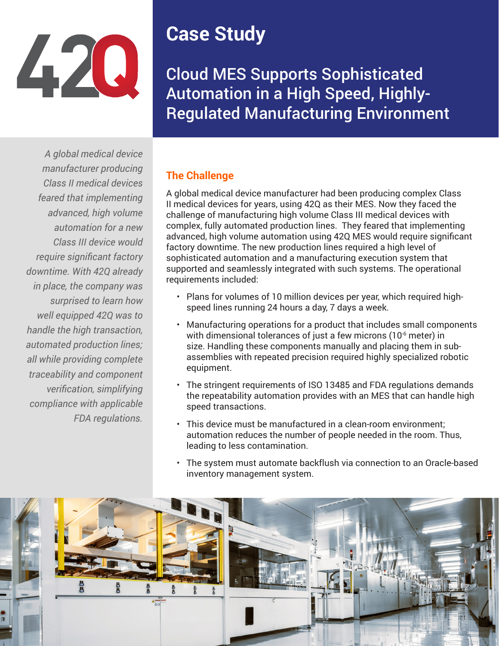

## **Case Study**

Cloud MES Supports Sophisticated Automation in a High Speed, Highly-Regulated Manufacturing Environment

*A global medical device manufacturer producing Class II medical devices feared that implementing advanced, high volume automation for a new Class III device would require significant factory downtime. With 42Q already in place, the company was surprised to learn how well equipped 42Q was to handle the high transaction, automated production lines; all while providing complete traceability and component verification, simplifying compliance with applicable FDA regulations.*

## **The Challenge**

A global medical device manufacturer had been producing complex Class II medical devices for years, using 42Q as their MES. Now they faced the challenge of manufacturing high volume Class III medical devices with complex, fully automated production lines. They feared that implementing advanced, high volume automation using 42Q MES would require significant factory downtime. The new production lines required a high level of sophisticated automation and a manufacturing execution system that supported and seamlessly integrated with such systems. The operational requirements included:

- Plans for volumes of 10 million devices per year, which required highspeed lines running 24 hours a day, 7 days a week.
- Manufacturing operations for a product that includes small components with dimensional tolerances of just a few microns (10<sup>-6</sup> meter) in size. Handling these components manually and placing them in subassemblies with repeated precision required highly specialized robotic equipment.
- The stringent requirements of ISO 13485 and FDA regulations demands the repeatability automation provides with an MES that can handle high speed transactions.
- This device must be manufactured in a clean-room environment; automation reduces the number of people needed in the room. Thus, leading to less contamination.
- The system must automate backflush via connection to an Oracle-based inventory management system.